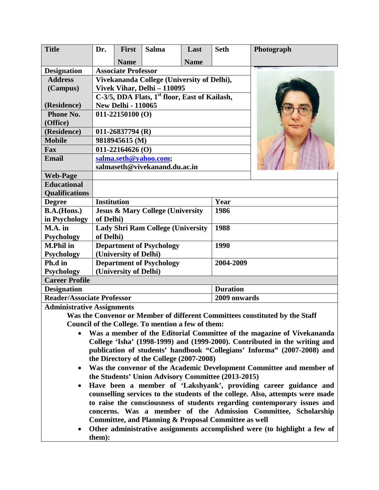| <b>Title</b>                      | Dr.                                                       | <b>First</b>               | <b>Salma</b> | Last        | <b>Seth</b>     | Photograph |  |
|-----------------------------------|-----------------------------------------------------------|----------------------------|--------------|-------------|-----------------|------------|--|
|                                   |                                                           | <b>Name</b>                |              | <b>Name</b> |                 |            |  |
| <b>Designation</b>                | <b>Associate Professor</b>                                |                            |              |             |                 |            |  |
| <b>Address</b>                    | Vivekananda College (University of Delhi),                |                            |              |             |                 |            |  |
| (Campus)                          | Vivek Vihar, Delhi - 110095                               |                            |              |             |                 |            |  |
|                                   | C-3/5, DDA Flats, 1 <sup>st</sup> floor, East of Kailash, |                            |              |             |                 |            |  |
| (Residence)                       | <b>New Delhi - 110065</b>                                 |                            |              |             |                 |            |  |
| Phone No.                         | $011 - 22150100$ (O)                                      |                            |              |             |                 |            |  |
| (Office)                          |                                                           |                            |              |             |                 |            |  |
| (Residence)                       | $011-26837794$ (R)                                        |                            |              |             |                 |            |  |
| <b>Mobile</b>                     | 9818945615 (M)                                            |                            |              |             |                 |            |  |
| Fax                               | $011 - 22164626$ (O)                                      |                            |              |             |                 |            |  |
| <b>Email</b>                      | salma.seth@yahoo.com;                                     |                            |              |             |                 |            |  |
|                                   | salmaseth@vivekanand.du.ac.in                             |                            |              |             |                 |            |  |
| <b>Web-Page</b>                   |                                                           |                            |              |             |                 |            |  |
| <b>Educational</b>                |                                                           |                            |              |             |                 |            |  |
| <b>Qualifications</b>             |                                                           |                            |              |             |                 |            |  |
| <b>Degree</b>                     |                                                           | <b>Institution</b><br>Year |              |             |                 |            |  |
| <b>B.A.(Hons.)</b>                | <b>Jesus &amp; Mary College (University</b>               |                            |              |             | 1986            |            |  |
| in Psychology                     | of Delhi)                                                 |                            |              |             |                 |            |  |
| $M.A.$ in                         | <b>Lady Shri Ram College (University</b>                  |                            |              |             | 1988            |            |  |
| <b>Psychology</b>                 | of Delhi)                                                 |                            |              |             |                 |            |  |
| <b>M.Phil in</b>                  | <b>Department of Psychology</b>                           |                            |              |             | 1990            |            |  |
| <b>Psychology</b>                 | (University of Delhi)                                     |                            |              |             |                 |            |  |
| Ph.d in                           | <b>Department of Psychology</b>                           |                            |              |             | 2004-2009       |            |  |
| <b>Psychology</b>                 | (University of Delhi)                                     |                            |              |             |                 |            |  |
| <b>Career Profile</b>             |                                                           |                            |              |             |                 |            |  |
| <b>Designation</b>                |                                                           |                            |              |             | <b>Duration</b> |            |  |
| <b>Reader/Associate Professor</b> |                                                           |                            |              |             | 2009 onwards    |            |  |
| Administrativa Assistants         |                                                           |                            |              |             |                 |            |  |

### **Administrative Assignments**

**Was the Convenor or Member of different Committees constituted by the Staff Council of the College. To mention a few of them:**

- **Was a member of the Editorial Committee of the magazine of Vivekananda College 'Isha' (1998-1999) and (1999-2000). Contributed in the writing and publication of students' handbook "Collegians' Informa" (2007-2008) and the Directory of the College (2007-2008)**
- **Was the convenor of the Academic Development Committee and member of the Students' Union Advisory Committee (2013-2015)**
- **Have been a member of 'Lakshyank', providing career guidance and counselling services to the students of the college. Also, attempts were made to raise the consciousness of students regarding contemporary issues and concerns. Was a member of the Admission Committee, Scholarship Committee, and Planning & Proposal Committee as well**
- **Other administrative assignments accomplished were (to highlight a few of them):**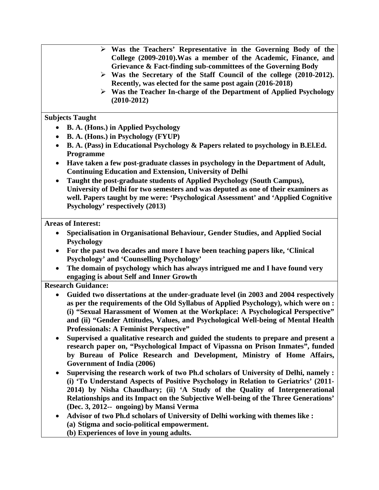- **Was the Teachers' Representative in the Governing Body of the College (2009-2010).Was a member of the Academic, Finance, and Grievance & Fact-finding sub-committees of the Governing Body**
	- **Was the Secretary of the Staff Council of the college (2010-2012). Recently, was elected for the same post again (2016-2018)**
	- **Was the Teacher In-charge of the Department of Applied Psychology (2010-2012)**

## **Subjects Taught**

- **B. A. (Hons.) in Applied Psychology**
- **B. A. (Hons.) in Psychology (FYUP)**
- **B. A. (Pass) in Educational Psychology & Papers related to psychology in B.El.Ed. Programme**
- **Have taken a few post-graduate classes in psychology in the Department of Adult, Continuing Education and Extension, University of Delhi**
- **Taught the post-graduate students of Applied Psychology (South Campus), University of Delhi for two semesters and was deputed as one of their examiners as well. Papers taught by me were: 'Psychological Assessment' and 'Applied Cognitive Psychology' respectively (2013)**

### **Areas of Interest:**

- **Specialisation in Organisational Behaviour, Gender Studies, and Applied Social Psychology**
- **For the past two decades and more I have been teaching papers like, 'Clinical Psychology' and 'Counselling Psychology'**
- **The domain of psychology which has always intrigued me and I have found very engaging is about Self and Inner Growth**

# **Research Guidance:**

- **Guided two dissertations at the under-graduate level (in 2003 and 2004 respectively as per the requirements of the Old Syllabus of Applied Psychology), which were on : (i) "Sexual Harassment of Women at the Workplace: A Psychological Perspective" and (ii) "Gender Attitudes, Values, and Psychological Well-being of Mental Health Professionals: A Feminist Perspective"**
- **Supervised a qualitative research and guided the students to prepare and present a research paper on, "Psychological Impact of Vipassna on Prison Inmates", funded by Bureau of Police Research and Development, Ministry of Home Affairs, Government of India (2006)**
- **Supervising the research work of two Ph.d scholars of University of Delhi, namely : (i) 'To Understand Aspects of Positive Psychology in Relation to Geriatrics' (2011- 2014) by Nisha Chaudhary; (ii) 'A Study of the Quality of Intergenerational Relationships and its Impact on the Subjective Well-being of the Three Generations' (Dec. 3, 2012-- ongoing) by Mansi Verma**
- **Advisor of two Ph.d scholars of University of Delhi working with themes like : (a) Stigma and socio-political empowerment.**
	- **(b) Experiences of love in young adults.**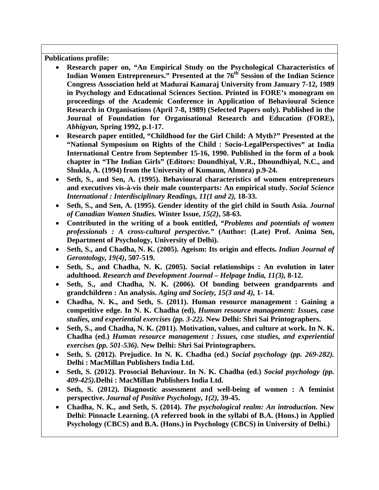**Publications profile:**

- **Research paper on, "An Empirical Study on the Psychological Characteristics of**  Indian Women Entrepreneurs." Presented at the 76<sup>th</sup> Session of the Indian Science **Congress Association held at Madurai Kamaraj University from January 7-12, 1989 in Psychology and Educational Sciences Section. Printed in FORE's monogram on proceedings of the Academic Conference in Application of Behavioural Science Research in Organisations (April 7-8, 1989) (Selected Papers only). Published in the Journal of Foundation for Organisational Research and Education (FORE),**  *Abhigyan,* **Spring 1992, p.1-17.**
- **Research paper entitled, "Childhood for the Girl Child: A Myth?" Presented at the "National Symposium on Rights of the Child : Socio-LegalPerspectives" at India International Centre from September 15-16, 1990. Published in the form of a book chapter in "The Indian Girls" (Editors: Doundhiyal, V.R., Dhoundhiyal, N.C., and Shukla, A. (1994) from the University of Kumaun, Almora) p.9-24.**
- **Seth, S., and Sen, A. (1995). Behavioural characteristics of women entrepreneurs and executives vis-à-vis their male counterparts: An empirical study.** *Social Science International : Interdisciplinary Readings, 11(1 and 2),* **18-33.**
- **Seth, S., and Sen, A. (1995). Gender identity of the girl child in South Asia.** *Journal of Canadian Women Studies.* **Winter Issue,** *15(2)***, 58-63.**
- **Contributed in the writing of a book entitled,** *"Problems and potentials of women professionals : A cross-cultural perspective."* **(Author: (Late) Prof. Anima Sen, Department of Psychology, University of Delhi).**
- **Seth, S., and Chadha, N. K. (2005). Ageism: Its origin and effects.** *Indian Journal of Gerontology, 19(4)***, 507-519.**
- **Seth, S., and Chadha, N. K. (2005). Social relationships : An evolution in later adulthood.** *Research and Development Journal – Helpage India, 11(3),* **8-12.**
- **Seth, S., and Chadha, N. K. (2006). Of bonding between grandparents and grandchildren : An analysis.** *Aging and Society, 15(3 and 4),* **1- 14.**
- **Chadha, N. K., and Seth, S. (2011). Human resource management : Gaining a competitive edge. In N. K. Chadha (ed),** *Human resource management: Issues, case studies, and experiential exercises (pp. 3-22).* **New Delhi: Shri Sai Printographers.**
- **Seth, S., and Chadha, N. K. (2011). Motivation, values, and culture at work. In N. K. Chadha (ed.)** *Human resource management : Issues, case studies, and experiential exercises (pp. 501-536).* **New Delhi: Shri Sai Printographers.**
- **Seth, S. (2012). Prejudice. In N. K. Chadha (ed.)** *Social psychology (pp. 269-282).*  **Delhi : MacMillan Publishers India Ltd.**
- **Seth, S. (2012). Prosocial Behaviour. In N. K. Chadha (ed.)** *Social psychology (pp. 409-425).***Delhi : MacMillan Publishers India Ltd.**
- **Seth, S. (2012). Diagnostic assessment and well-being of women : A feminist perspective.** *Journal of Positive Psychology, 1(2),* **39-45.**
- **Chadha, N. K., and Seth, S. (2014).** *The psychological realm: An introduction.* **New Delhi: Pinnacle Learning. (A referred book in the syllabi of B.A. (Hons.) in Applied Psychology (CBCS) and B.A. (Hons.) in Psychology (CBCS) in University of Delhi.)**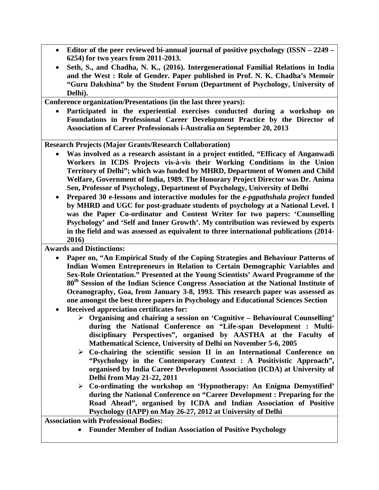- **Editor of the peer reviewed bi-annual journal of positive psychology (ISSN – 2249 – 6254) for two years from 2011-2013.**
- **Seth, S., and Chadha, N. K., (2016). Intergenerational Familial Relations in India and the West : Role of Gender. Paper published in Prof. N. K. Chadha's Memoir "Guru Dakshina" by the Student Forum (Department of Psychology, University of Delhi).**

**Conference organization/Presentations (in the last three years):**

• **Participated in the experiential exercises conducted during a workshop on Foundations in Professional Career Development Practice by the Director of Association of Career Professionals i-Australia on September 20, 2013**

**Research Projects (Major Grants/Research Collaboration)**

- **Was involved as a research assistant in a project entitled, "Efficacy of Anganwadi Workers in ICDS Projects vis-à-vis their Working Conditions in the Union Territory of Delhi"; which was funded by MHRD, Department of Women and Child Welfare, Government of India, 1989. The Honorary Project Director was Dr. Anima Sen, Professor of Psychology, Department of Psychology, University of Delhi**
- **Prepared 30 e-lessons and interactive modules for the** *e-pgpathshala project* **funded by MHRD and UGC for post-graduate students of psychology at a National Level. I was the Paper Co-ordinator and Content Writer for two papers: 'Counselling Psychology' and 'Self and Inner Growth'. My contribution was reviewed by experts in the field and was assessed as equivalent to three international publications (2014- 2016)**

**Awards and Distinctions:**

- **Paper on, "An Empirical Study of the Coping Strategies and Behaviour Patterns of Indian Women Entrepreneurs in Relation to Certain Demographic Variables and Sex-Role Orientation." Presented at the Young Scientists' Award Programme of the 80th Session of the Indian Science Congress Association at the National Institute of Oceanography, Goa, from January 3-8, 1993. This research paper was assessed as one amongst the best three papers in Psychology and Educational Sciences Section**
- **Received appreciation certificates for:**
	- **Organising and chairing a session on 'Cognitive – Behavioural Counselling' during the National Conference on "Life-span Development : Multidisciplinary Perspectives", organised by AASTHA at the Faculty of Mathematical Science, University of Delhi on November 5-6, 2005**
	- **Co-chairing the scientific session II in an International Conference on "Psychology in the Contemporary Context : A Positivistic Approach", organised by India Career Development Association (ICDA) at University of Delhi from May 21-22, 2011**
	- **Co-ordinating the workshop on 'Hypnotherapy: An Enigma Demystified' during the National Conference on "Career Development : Preparing for the Road Ahead", organised by ICDA and Indian Association of Positive Psychology (IAPP) on May 26-27, 2012 at University of Delhi**

**Association with Professional Bodies:** 

• **Founder Member of Indian Association of Positive Psychology**